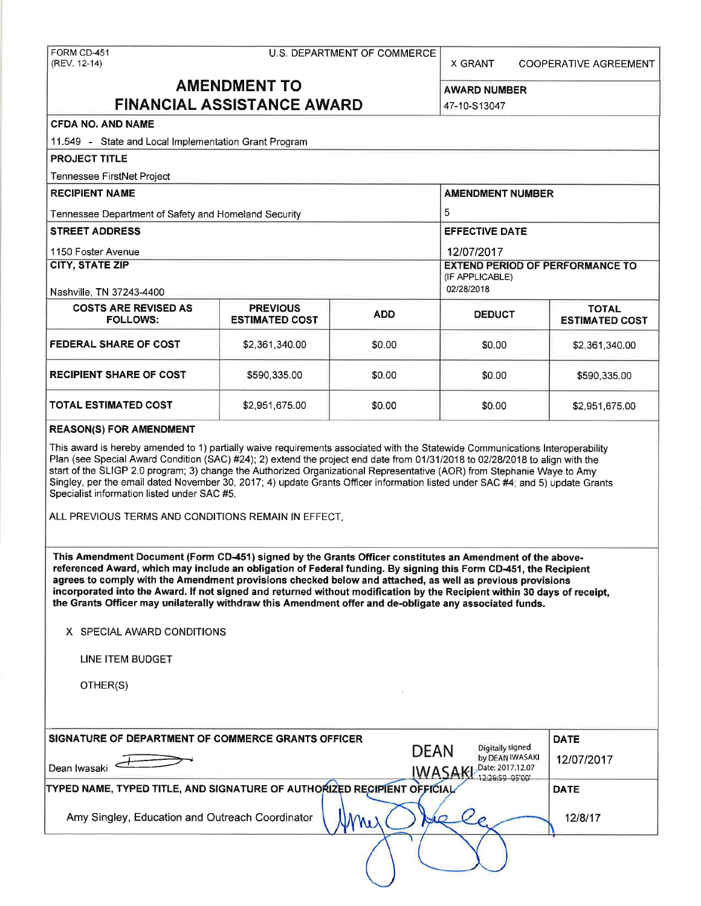(REV. 12-14) X GRANT COOPERATIVE AGREEMENT

# **AMENDMENT TO** AWARD NUMBER **FINANCIAL ASSISTANCE AWARD 147-10-S13047**

# **CFDA NO. AND NAME**

| 11.549 - State and Local Implementation Grant Program |                       |            |                                                                         |                       |  |  |  |
|-------------------------------------------------------|-----------------------|------------|-------------------------------------------------------------------------|-----------------------|--|--|--|
| <b>PROJECT TITLE</b>                                  |                       |            |                                                                         |                       |  |  |  |
| Tennessee FirstNet Project                            |                       |            |                                                                         |                       |  |  |  |
| <b>RECIPIENT NAME</b>                                 |                       |            | <b>AMENDMENT NUMBER</b>                                                 |                       |  |  |  |
| Tennessee Department of Safety and Homeland Security  | 5                     |            |                                                                         |                       |  |  |  |
| <b>STREET ADDRESS</b>                                 |                       |            | <b>EFFECTIVE DATE</b>                                                   |                       |  |  |  |
| 1150 Foster Avenue                                    |                       |            | 12/07/2017                                                              |                       |  |  |  |
| <b>CITY, STATE ZIP</b><br>Nashville, TN 37243-4400    |                       |            | <b>EXTEND PERIOD OF PERFORMANCE TO</b><br>(IF APPLICABLE)<br>02/28/2018 |                       |  |  |  |
| <b>COSTS ARE REVISED AS</b><br><b>PREVIOUS</b>        |                       |            |                                                                         | <b>TOTAL</b>          |  |  |  |
| <b>FOLLOWS:</b>                                       | <b>ESTIMATED COST</b> | <b>ADD</b> | <b>DEDUCT</b>                                                           | <b>ESTIMATED COST</b> |  |  |  |
| <b>FEDERAL SHARE OF COST</b>                          | \$2,361,340.00        | \$0.00     | \$0.00                                                                  | \$2,361,340.00        |  |  |  |
| <b>RECIPIENT SHARE OF COST</b>                        | \$590,335.00          | \$0.00     | \$0.00                                                                  | \$590,335.00          |  |  |  |
| <b>TOTAL ESTIMATED COST</b>                           | \$2,951,675.00        | \$0.00     | \$0.00                                                                  | \$2,951,675.00        |  |  |  |

#### **REASON(\$) FOR AMENDMENT**

This award is hereby amended to 1) partially waive requirements associated with the Statewide Communications Interoperability Plan (see Special Award Condition (SAC) #24); 2) extend the project end date from 01/31/2018 to 02/28/2018 to align with the start of the SLIGP 2.0 program; 3) change the Authorized Organizational Representative (AOR) from Stephanie Waye to Amy Singley, per the email dated November 30, 2017; 4) update Grants Officer information listed under SAC #4; and 5) update Grants Specialist information listed under SAC #5.

ALL PREVIOUS TERMS AND CONDITIONS REMAIN IN EFFECT.

**This Amendment Document (Form CD-451) signed by the Grants Officer constitutes an Amendment of the abovereferenced Award, which may include an obligation of Federal funding. By signing this Form CD-451, the Recipient**  agrees to comply with the Amendment provisions checked below and attached, as well as previous provisions **incorporated into the Award. If not signed and returned without modification by the Recipient within 30 days of receipt, the Grants Officer may unilaterally withdraw this Amendment offer and de-obligate any associated funds.** 

**X** SPECIAL AWARD CONDITIONS

LINE ITEM BUDGET

OTHER(S)

| SIGNATURE OF DEPARTMENT OF COMMERCE GRANTS OFFICER                      | <b>DATE</b>                   |                                                                                         |
|-------------------------------------------------------------------------|-------------------------------|-----------------------------------------------------------------------------------------|
| Dean Iwasaki                                                            | <b>DEAN</b><br><b>IWASAKI</b> | Digitally signed<br>by DEAN IWASAKI<br>12/07/2017<br>Date: 2017.12.07<br>12:26:59-05'00 |
| TYPED NAME, TYPED TITLE, AND SIGNATURE OF AUTHORIZED RECIPIENT OFFICIAL |                               | <b>DATE</b>                                                                             |
| Amy Singley, Education and Outreach Coordinator<br>Mi                   | $\sim$                        | 12/8/17                                                                                 |
|                                                                         |                               |                                                                                         |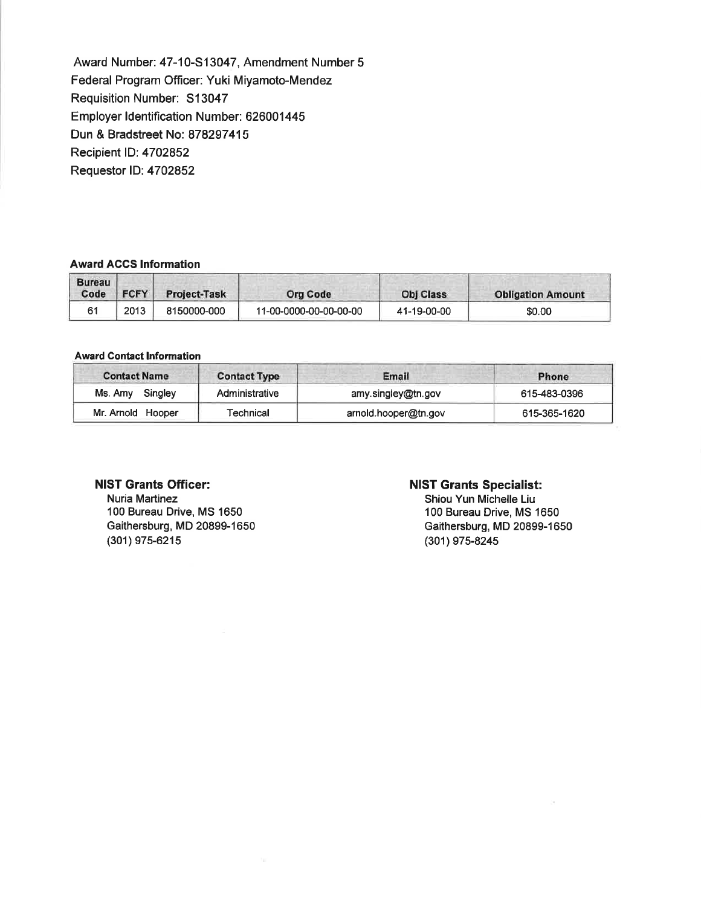Award Number: 47-10-S13047, Amendment Number 5 Federal Program Officer: Yuki Miyamoto-Mendez Requisition Number: S13047 Employer Identification Number: 626001445 Dun & Bradstreet No: 878297415 Recipient ID: 4702852 Requester ID: 4702852

#### **Award ACCS Information**

| <b>Bureau</b><br>Code | <b>FCFY</b> | <b>Project-Task</b> | <b>Org Code</b>        | <b>Obj Class</b> | <b>Obligation Amount</b> |
|-----------------------|-------------|---------------------|------------------------|------------------|--------------------------|
| 61                    | 2013        | 8150000-000         | 11-00-0000-00-00-00-00 | 41-19-00-00      | \$0.00                   |

#### **Award Contact Information**

| <b>Contact Name</b> | <b>Contact Type</b> | Email                | Phone        |
|---------------------|---------------------|----------------------|--------------|
| Singley<br>Ms. Amy  | Administrative      | amy.singley@tn.gov   | 615-483-0396 |
| Mr. Arnold Hooper   | Technical           | arnold.hooper@tn.gov | 615-365-1620 |

#### **NIST Grants Officer:**

Nuria Martinez 100 Bureau Drive, MS 1650 Gaithersburg, MD 20899-1650 (301) 975-6215

### **NIST Grants Specialist:**

Shiou Yun Michelle Liu 100 Bureau Drive, MS 1650 Gaithersburg, MD 20899-1650 (301) 975-8245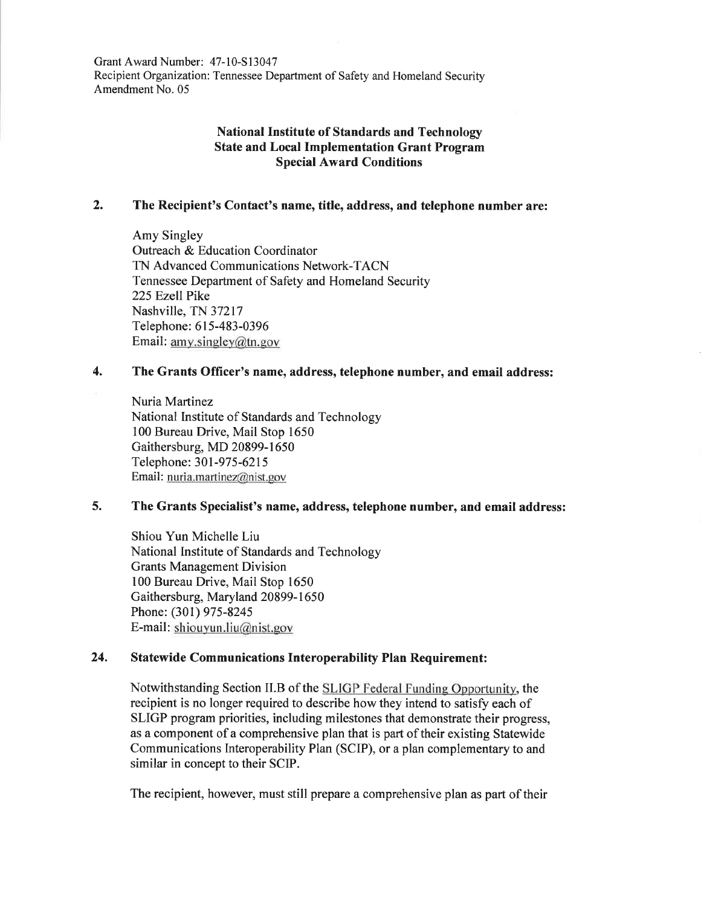Grant Award Number: 47-10-S13047 Recipient Organization: Tennessee Department of Safety and Homeland Security Amendment No. 05

# **National Institute of Standards and Technology State and Local Implementation Grant Program Special Award Conditions**

# **2. The Recipient's Contact's name, title, address, and telephone number are:**

Amy Singley Outreach & Education Coordinator TN Advanced Communications Network-TACN Tennessee Department of Safety and Homeland Security 225 Ezell Pike Nashville, TN 37217 Telephone: 615-483-0396 Email: amy.singley@ln.gov

# **4. The Grants Officer's name, address, telephone number, and email address:**

Nuria Martinez National Institute of Standards and Technology 100 Bureau Drive, Mail Stop 1650 Gaithersburg, MD 20899-1650 Telephone: 301-975-6215 Email: nuria.martinez@nist.gov

## **5. The Grants Specialist's name, address, telephone number, and email address:**

Shiou Yun Michelle Liu National Institute of Standards and Technology Grants Management Division 100 Bureau Drive, Mail Stop 1650 Gaithersburg, Maryland 20899-1650 Phone: (301) 975-8245 E-mail: shiouyun.liu@nist.gov

# **24. Statewide Communications Interoperability Plan Requirement:**

Notwithstanding Section 11.B of the LIGP Federal Funding Opportunity, the recipient is no longer required to describe how they intend to satisfy each of SLIGP program priorities, including milestones that demonstrate their progress, as a component of a comprehensive plan that is part of their existing Statewide Communications Interoperability Plan (SCIP), or a plan complementary to and similar in concept to their SCIP.

The recipient, however, must still prepare a comprehensive plan as part of their